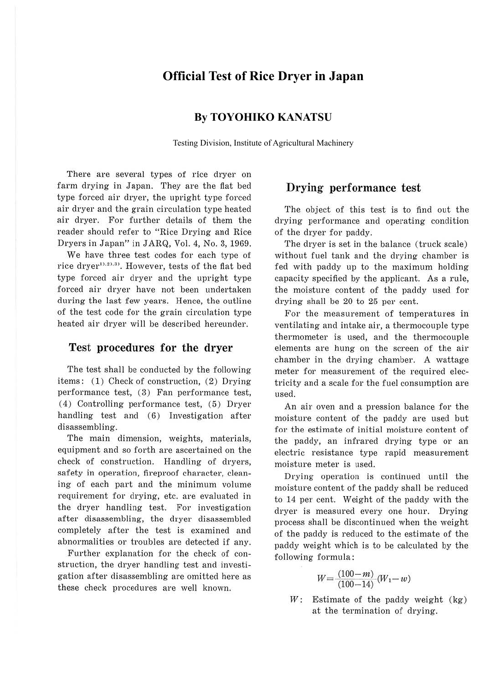# **Official Test of Rice Dryer in Japan**

## **By TOYOHIKO KANATSU**

Testing Division, Institute of Agricultural Machinery

There are several types of rice dryer on farm drying in Japan. They are the flat bed type forced air dryer, the upright type forced air dryer and the grain circulation type heated air dryer. For further details of them the reader should refer to "Rice Drying and Rice Dryers in Japan" in JARQ, Vol. 4, No. 3, 1969.

We have three test codes for each type of rice dryer<sup>1),2),3)</sup>. However, tests of the flat bed type forced air dryer and the upright type forced air dryer have not been undertaken during the last few years. Hence, the outline of the test code for the grain circulation type heated air dryer will be described hereunder.

#### **Test procedures for the dryer**

The test shall be conducted by the following items: (1) Check of construction, (2) Drying performance test, (3) Fan performance test, ( 4) Controlling performance test, (5) Dryer handling test and (6) Investigation after disassembling.

The main dimension, weights, materials, equipment and so forth are ascertained on the check of construction. Handling of dryers, safety in operation, fireproof character, cleaning of each part and the minimum volume requirement for drying, etc. are evaluated in the dryer handling test. For investigation after disassembling, the dryer disassembled completely after the test is examined and abnormalities or troubles are detected if any.

Further explanation for the check of construction, the dryer handling test and investigation after disassembling are omitted here as these check procedures are well known.

## **Drying performance test**

The object of this test is to find out the drying performance and operating condition of the dryer for paddy.

The dryer is set in the balance (truck scale) without fuel tank and the drying chamber is fed with paddy up to the maximum holding capacity specified by the applicant. As a rule, the moisture content of the paddy used for drying shall be 20 to 25 per cent.

For the measurement of temperatures in ventilating and intake air, a thermocouple type thermometer is used, and the thermocouple elements are hung on the screen of the air chamber in the drying chamber. A wattage meter for measurement of the required electricity and a scale for the fuel consumption are used.

An air oven and a pression balance for the moisture content of the paddy are used but for the estimate of initial moisture content of the paddy, an infrared drying type or an electric resistance type rapid measurement moisture meter is used.

Drying operation is continued until the moisture content of the paddy shall be reduced to 14 per cent. Weight of the paddy with the dryer is measured every one hour. Drying process shall be discontinued when the weight of the paddy is reduced to the estimate of the paddy weight which is to be calculated by the following formula:

$$
W = \frac{(100 - m)}{(100 - 14)}(W_1 - w)
$$

*W:* Estimate of the paddy weight (kg) at the termination of drying.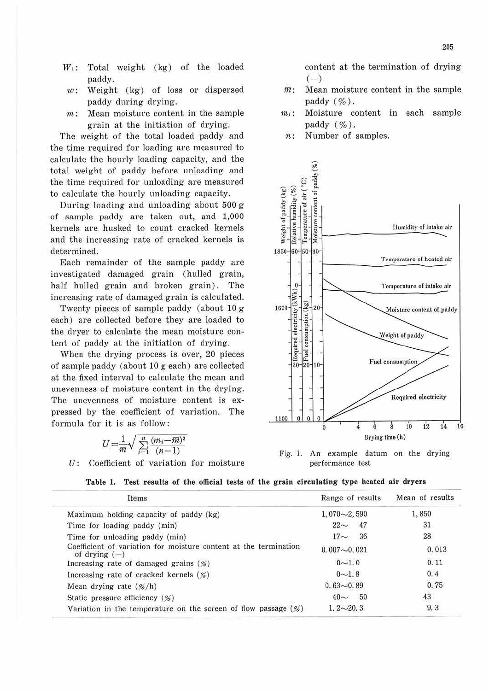- $W_1$ : Total weight (kg) of the loaded paddy.
- $w$ : Weight (kg) of loss or dispersed paddy during drying.
- $m:$  Mean moisture content in the sample grain at the initiation of drying.

The weight of the total loaded paddy and the time required for loading are measured to calcu late the hourly loading capacity, and the total weight of paddy before unloading and the time required for unloading are measured to calculate the hourly unloading capacity.

During loading and unloading about 500 g of sample paddy are taken out, and 1,000 kernels are husked to count cracked kernels and the increasing rate of cracked kemels is determined.

Each remainder of the sample paddy are investigated damaged grain (hulled grain, half hulled grain and broken grain). The increasing rate of damaged grain is calculated.

Twenty pieces of sample paddy (about 10 g each) are collected before they are loaded to the dryer to calculate the mean moisture content of paddy at the initiation of drying.

When the drying process is over, 20 pieces of sample paddy (about 10 g each) are collected at the fixed interval to calculate the mean and unevenness of moisture content in the drying. The unevenness of moisture content is expressed by the coefficient of variation. The formula for it is as follow :

$$
U = \frac{1}{m} \sqrt{\sum_{i=1}^{n} \frac{(m_i - \overline{m})^2}{(n-1)}}
$$

*U:* Coefficient of variation for moisture

content at the termination of drying  $(-)$ 

- $\overline{m}$ : Mean moisture content in the sample paddy  $(\% )$ .
- $m_i$ : Moisture content in each sample paddy  $(\% )$ .
	- n: Number of samples.



Fig. 1. An example datum on the drying performance test

| Table 1. Test results of the official tests of the grain circulating type heated air dryers |  |
|---------------------------------------------------------------------------------------------|--|
|---------------------------------------------------------------------------------------------|--|

| Items                                                                               | Range of results  | Mean of results |
|-------------------------------------------------------------------------------------|-------------------|-----------------|
| Maximum holding capacity of paddy (kg)                                              | $1,070\sim 2,590$ | 1,850           |
| Time for loading paddy (min)                                                        | $22 \sim 47$      | 31              |
| Time for unloading paddy (min)                                                      | $17 - 36$         | 28              |
| Coefficient of variation for moisture content at the termination<br>of drying $(-)$ | $0.007 - 0.021$   | 0.013           |
| Increasing rate of damaged grains $(\%)$                                            | $0 - 1.0$         | 0.11            |
| Increasing rate of cracked kernels $(\%)$                                           | $0 - 1.8$         | 0.4             |
| Mean drying rate $(\frac{\%}{h})$                                                   | $0.63 - 0.89$     | 0.75            |
| Static pressure efficiency $(\%)$                                                   | $40 \sim 50$      | 43              |
| Variation in the temperature on the screen of flow passage $(\%)$                   | $1, 2 \sim 20, 3$ | 9.3             |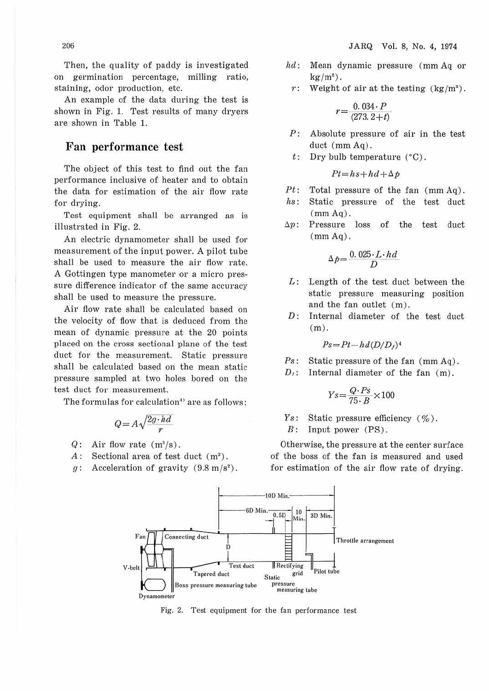Then, the quality of paddy is investigated on germination percentage, milling ratio, staining, odor production, etc.

An example of the data during the test is shown in Fig. I. Test results of many dryers are shown in Table I.

#### **Fan performance test**

The object of this test to find out the fan performance inclusive of heater and to obtain the data for estimation of the air flow rate for drying.

Test equipment shall be arranged as is illustrated in Fig. 2.

An electric dynamometer shall be used for measurement of the input power. A pilot tube shall be used to measure the air flow rate. A Gottingen type manometer or a micro pressure difference indicator of the same accuracy shall be used to measure the pressure.

Air flow rate shall be calculated based on the velocity of flow that is deduced from the mean of dynamic pressure at the 20 points placed on the cross sectional plane of the test duct for the measurement. Static pressure shall be calculated based on the mean static pressure sampled at two holes bored on the test duct for measurement.

The formulas for calculation<sup>4)</sup> are as follows:

$$
Q = A \sqrt{\frac{2g \cdot hd}{r}}
$$

- $Q:$  Air flow rate  $(m^3/s)$ .
- A: Sectional area of test duct (m<sup>2</sup>).
- g: Acceleration of gravity  $(9.8 \text{ m/s}^2)$ .

*hd*: Mean dynamic pressure (mm Aq or 
$$
kg/m^2
$$
).

*r:*  Weight of air at the testing  $\frac{\text{kg}}{m^3}$ .

$$
r = \frac{0.034 \cdot P}{(273.2 + t)}
$$

- *P:*  Absolute pressure of air in the test duct (mm Aq).
- t: Dry bulb temperature (°C) .

$$
Pt = hs + hd + \Delta p
$$

- *Pt:* Total pressure of the fan (mm Aq).
- *hs:* Static pressure of the test duct  $(mm Aq)$ .
- $\Delta p$ : Pressure loss of the test duct  $(\text{mm Aq})$ .

$$
\Delta p = \frac{0.025 \cdot L \cdot hd}{D}
$$

- *L:* Length of the test duct between the static pressure measuring position and the fan outlet (m) .
- *D:* Internal diameter of the test duct (m).

$$
Ps\!=\!Pt\!-\!hd(D/D_f)^4
$$

- *Ps*: Static pressure of the fan (mm Aq).
- $D_1$ : Internal diameter of the fan  $(m)$ .

$$
Ys = \frac{Q \cdot Ps}{75 \cdot B} \times 100
$$

 $Y_s$ : Static pressure efficiency  $(\% )$ .

*B:* Input power (PS).

Otherwise, the pressure at the center surface of the boss of the fan is measured and used for estimation of the air flow rate of drying.



Fig. 2. Test equipment for the fan performance test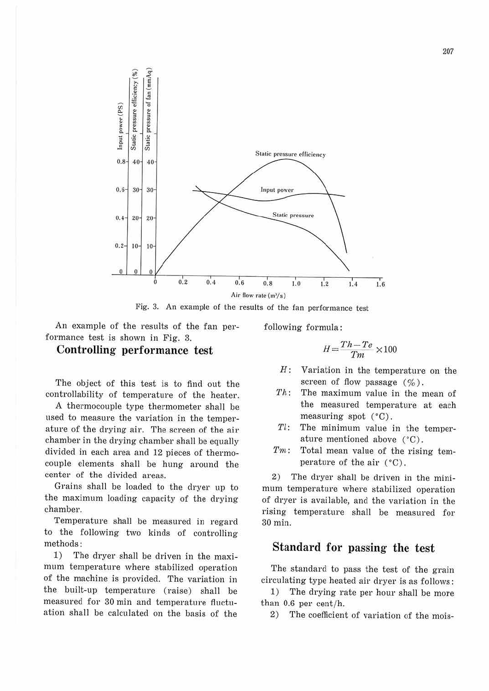

Fig. 3. An example of the results of the fan performance test

An example of the results of the fan performance test is shown in Fig. 3.

#### **Controlling performance test**

The object of this test is to find out the controllability of temperature of the heater.

A thermocouple type thermometer shall be used to measure the variation in the temperature of the drying air. The screen of the air chamber in the drying chamber shall be equally divided in each area and 12 pieces of thermocouple elements shall be hung around the center of the divided areas.

Grains shall be loaded to the dryer up to the maximum loading capacity of the drying chamber.

Temperature shall be measured in regard to the following two kinds of controlling methods:

1) The dryer shall be driven in the maximum temperature where stabilized operation of the machine is provided. The variation in the built-up temperature (raise) shall be measured for 30 min and temperature fluctuation shall be calculated on the basis of the

following formula :

$$
H = \frac{Th - Te}{Tm} \times 100
$$

- *H:* Variation in the temperature on the screen of flow passage  $(\% )$ .
- *1'h:* The maximum value in the mean of the measured temperature at each measuring spot (°C).
- $Tl$ : The minimum value in the temperature mentioned above (°C).
- *Tm*: Total mean value of the rising temperature of the air (°C) .

2) The dryer shall be driven in the minimum temperature where stabilized operation of dryer is available, and the variation in the rising temperature shall be measured for 30 min.

### **Standard for passing the test**

The standard to pass the test of the grain circulating type heated air dryer is as follows:

1) The drying rate per hour shall be more than  $0.6$  per cent/h.

2) The coefficient of variation of the mois-